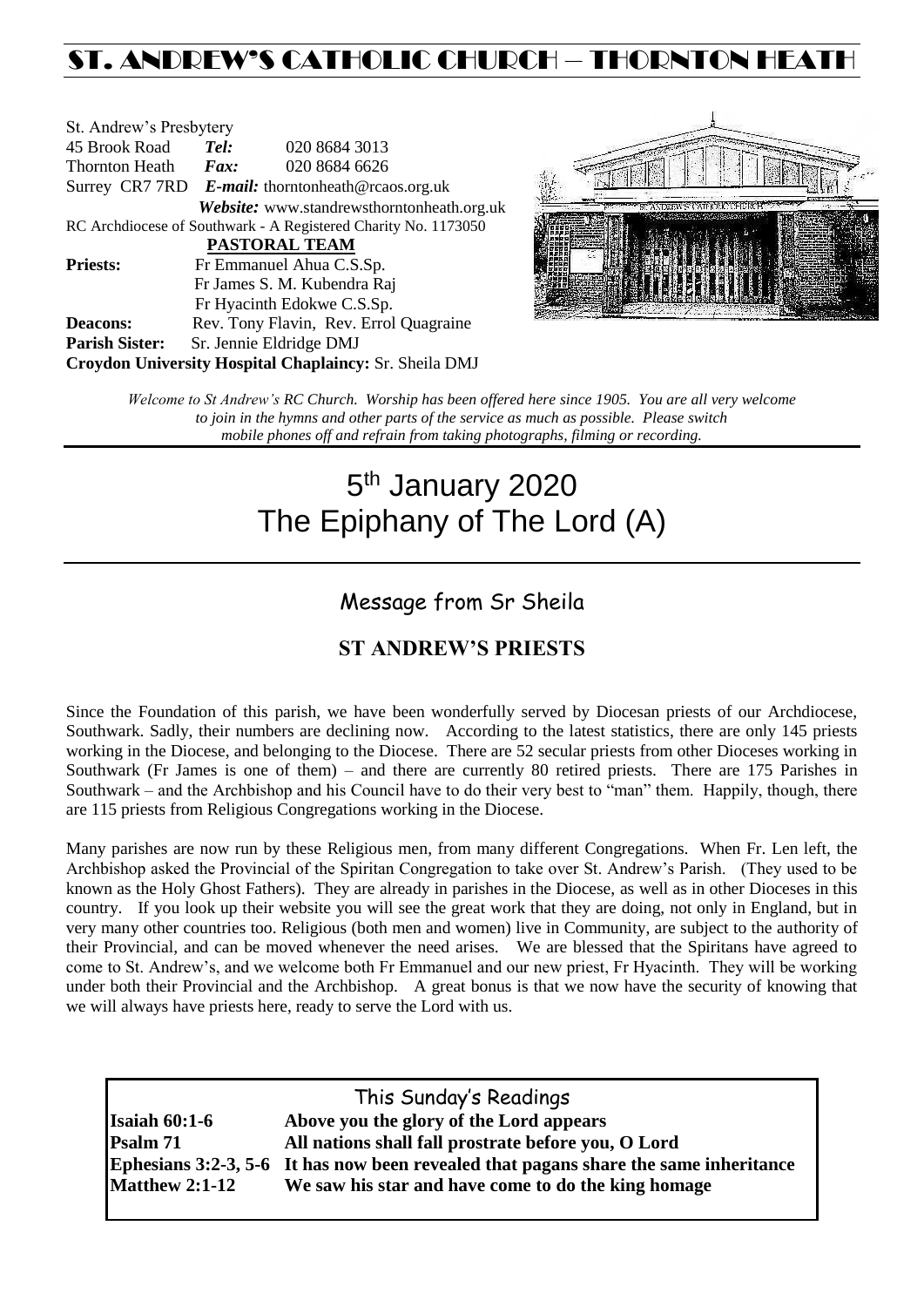## ST. ANDREW'S CATHOLIC CHURCH – THORNTON HEAT

| St. Andrew's Presbytery                                        |                     |                                                   |  |
|----------------------------------------------------------------|---------------------|---------------------------------------------------|--|
| 45 Brook Road                                                  | Tel:                | 020 8684 3013                                     |  |
| Thornton Heath                                                 | $\boldsymbol{Fax:}$ | 020 8684 6626                                     |  |
|                                                                |                     | Surrey CR7 7RD E-mail: thorntonheath@rcaos.org.uk |  |
|                                                                |                     | Website: www.standrewsthorntonheath.org.uk        |  |
| RC Archdiocese of Southwark - A Registered Charity No. 1173050 |                     |                                                   |  |
| <b>PASTORAL TEAM</b>                                           |                     |                                                   |  |
| <b>Priests:</b>                                                |                     | Fr Emmanuel Ahua C.S.Sp.                          |  |
|                                                                |                     | Fr James S. M. Kubendra Raj                       |  |
|                                                                |                     | Fr Hyacinth Edokwe C.S.Sp.                        |  |
| <b>Deacons:</b>                                                |                     | Rev. Tony Flavin, Rev. Errol Quagraine            |  |
| <b>Parish Sister:</b>                                          |                     | Sr. Jennie Eldridge DMJ                           |  |
| Croydon University Hospital Chaplaincy: Sr. Sheila DMJ         |                     |                                                   |  |



*Welcome to St Andrew's RC Church. Worship has been offered here since 1905. You are all very welcome to join in the hymns and other parts of the service as much as possible. Please switch mobile phones off and refrain from taking photographs, filming or recording.*

# 5<sup>th</sup> January 2020 The Epiphany of The Lord (A)

### Message from Sr Sheila

### **ST ANDREW'S PRIESTS**

Since the Foundation of this parish, we have been wonderfully served by Diocesan priests of our Archdiocese, Southwark. Sadly, their numbers are declining now. According to the latest statistics, there are only 145 priests working in the Diocese, and belonging to the Diocese. There are 52 secular priests from other Dioceses working in Southwark (Fr James is one of them) – and there are currently 80 retired priests. There are 175 Parishes in Southwark – and the Archbishop and his Council have to do their very best to "man" them. Happily, though, there are 115 priests from Religious Congregations working in the Diocese.

Many parishes are now run by these Religious men, from many different Congregations. When Fr. Len left, the Archbishop asked the Provincial of the Spiritan Congregation to take over St. Andrew's Parish. (They used to be known as the Holy Ghost Fathers). They are already in parishes in the Diocese, as well as in other Dioceses in this country. If you look up their website you will see the great work that they are doing, not only in England, but in very many other countries too. Religious (both men and women) live in Community, are subject to the authority of their Provincial, and can be moved whenever the need arises. We are blessed that the Spiritans have agreed to come to St. Andrew's, and we welcome both Fr Emmanuel and our new priest, Fr Hyacinth. They will be working under both their Provincial and the Archbishop. A great bonus is that we now have the security of knowing that we will always have priests here, ready to serve the Lord with us.

|                         | This Sunday's Readings                                                               |
|-------------------------|--------------------------------------------------------------------------------------|
| Isaiah $60:1-6$         | Above you the glory of the Lord appears                                              |
| Psalm 71                | All nations shall fall prostrate before you, O Lord                                  |
|                         | Ephesians 3:2-3, 5-6 It has now been revealed that pagans share the same inheritance |
| $Mat$ h Analysis 2:1-12 | We saw his star and have come to do the king homage                                  |
|                         |                                                                                      |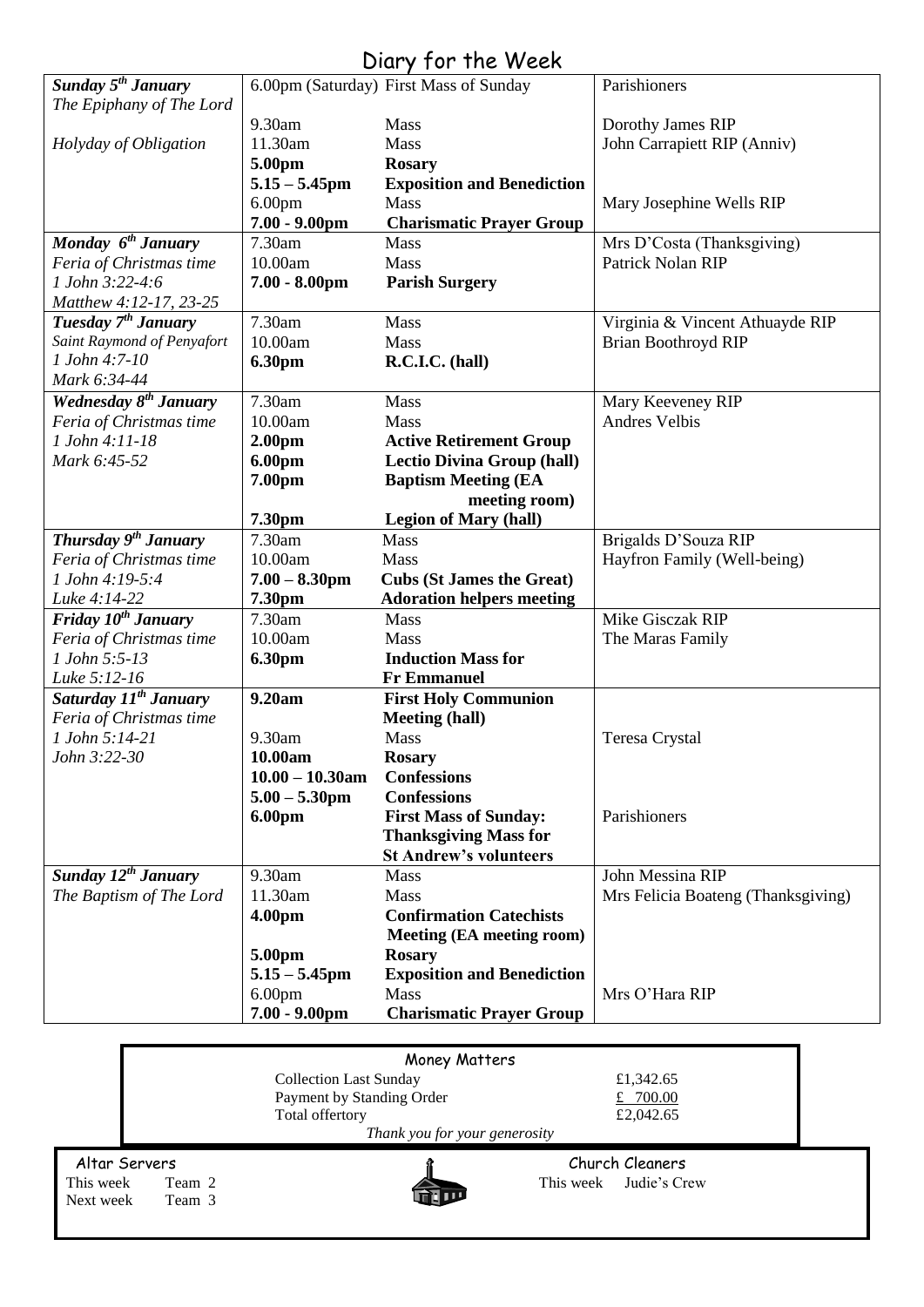### Diary for the Week

| <b>Sunday 5<sup>th</sup> January</b> |                    | 6.00pm (Saturday) First Mass of Sunday | Parishioners                       |
|--------------------------------------|--------------------|----------------------------------------|------------------------------------|
| The Epiphany of The Lord             |                    |                                        |                                    |
|                                      | 9.30am             | Mass                                   | Dorothy James RIP                  |
| Holyday of Obligation                | 11.30am            | Mass                                   | John Carrapiett RIP (Anniv)        |
|                                      | 5.00pm             | <b>Rosary</b>                          |                                    |
|                                      | $5.15 - 5.45$ pm   | <b>Exposition and Benediction</b>      |                                    |
|                                      | 6.00 <sub>pm</sub> | Mass                                   | Mary Josephine Wells RIP           |
|                                      | $7.00 - 9.00$ pm   | <b>Charismatic Prayer Group</b>        |                                    |
| Monday $6^{th}$ January              | 7.30am             | Mass                                   | Mrs D'Costa (Thanksgiving)         |
| Feria of Christmas time              | 10.00am            | Mass                                   | Patrick Nolan RIP                  |
| 1 John 3:22-4:6                      | $7.00 - 8.00$ pm   | <b>Parish Surgery</b>                  |                                    |
| Matthew 4:12-17, 23-25               |                    |                                        |                                    |
| Tuesday 7 <sup>th</sup> January      | 7.30am             | Mass                                   | Virginia & Vincent Athuayde RIP    |
| Saint Raymond of Penyafort           | 10.00am            | Mass                                   | <b>Brian Boothroyd RIP</b>         |
| 1 John 4:7-10                        | 6.30pm             | R.C.I.C. (hall)                        |                                    |
| Mark 6:34-44                         |                    |                                        |                                    |
| Wednesday 8 <sup>th</sup> January    | 7.30am             | Mass                                   | Mary Keeveney RIP                  |
| Feria of Christmas time              | 10.00am            | Mass                                   | <b>Andres Velbis</b>               |
| 1 John 4:11-18                       | 2.00 <sub>pm</sub> | <b>Active Retirement Group</b>         |                                    |
| Mark 6:45-52                         | 6.00pm             | <b>Lectio Divina Group (hall)</b>      |                                    |
|                                      | 7.00pm             | <b>Baptism Meeting (EA</b>             |                                    |
|                                      |                    | meeting room)                          |                                    |
|                                      | 7.30pm             | <b>Legion of Mary (hall)</b>           |                                    |
| Thursday 9 <sup>th</sup> January     | 7.30am             | Mass                                   | Brigalds D'Souza RIP               |
| Feria of Christmas time              | 10.00am            | Mass                                   | Hayfron Family (Well-being)        |
| 1 John 4:19-5:4                      | $7.00 - 8.30$ pm   | <b>Cubs (St James the Great)</b>       |                                    |
| Luke 4:14-22                         | 7.30pm             | <b>Adoration helpers meeting</b>       |                                    |
| Friday 10 <sup>th</sup> January      | 7.30am             | Mass                                   | Mike Gisczak RIP                   |
| Feria of Christmas time              | 10.00am            | Mass                                   | The Maras Family                   |
| 1 John 5:5-13                        | 6.30pm             | <b>Induction Mass for</b>              |                                    |
| Luke 5:12-16                         |                    | <b>Fr Emmanuel</b>                     |                                    |
| Saturday 11 <sup>th</sup> January    | 9.20am             | <b>First Holy Communion</b>            |                                    |
| Feria of Christmas time              |                    | <b>Meeting (hall)</b>                  |                                    |
| 1 John 5:14-21                       | 9.30am             | <b>Mass</b>                            | Teresa Crystal                     |
| John 3:22-30                         | 10.00am            | <b>Rosary</b>                          |                                    |
|                                      | $10.00 - 10.30$ am | <b>Confessions</b>                     |                                    |
|                                      | $5.00 - 5.30$ pm   | <b>Confessions</b>                     |                                    |
|                                      | 6.00pm             | <b>First Mass of Sunday:</b>           | Parishioners                       |
|                                      |                    | <b>Thanksgiving Mass for</b>           |                                    |
|                                      |                    | <b>St Andrew's volunteers</b>          |                                    |
| Sunday $12^{th}$ January             | 9.30am             | Mass                                   | John Messina RIP                   |
| The Baptism of The Lord              | 11.30am            | Mass                                   | Mrs Felicia Boateng (Thanksgiving) |
|                                      | 4.00pm             | <b>Confirmation Catechists</b>         |                                    |
|                                      |                    | <b>Meeting (EA meeting room)</b>       |                                    |
|                                      | 5.00pm             | <b>Rosary</b>                          |                                    |
|                                      | $5.15 - 5.45$ pm   | <b>Exposition and Benediction</b>      |                                    |
|                                      | 6.00 <sub>pm</sub> | Mass                                   | Mrs O'Hara RIP                     |
|                                      | $7.00 - 9.00$ pm   | <b>Charismatic Prayer Group</b>        |                                    |

|                     | Money Matters                 |                           |  |
|---------------------|-------------------------------|---------------------------|--|
|                     | <b>Collection Last Sunday</b> | £1,342.65                 |  |
|                     | Payment by Standing Order     | £ $700.00$                |  |
|                     | Total offertory               | £2,042.65                 |  |
|                     | Thank you for your generosity |                           |  |
| Altar Servers       |                               | Church Cleaners           |  |
| This week<br>Team 2 |                               | Judie's Crew<br>This week |  |
|                     |                               |                           |  |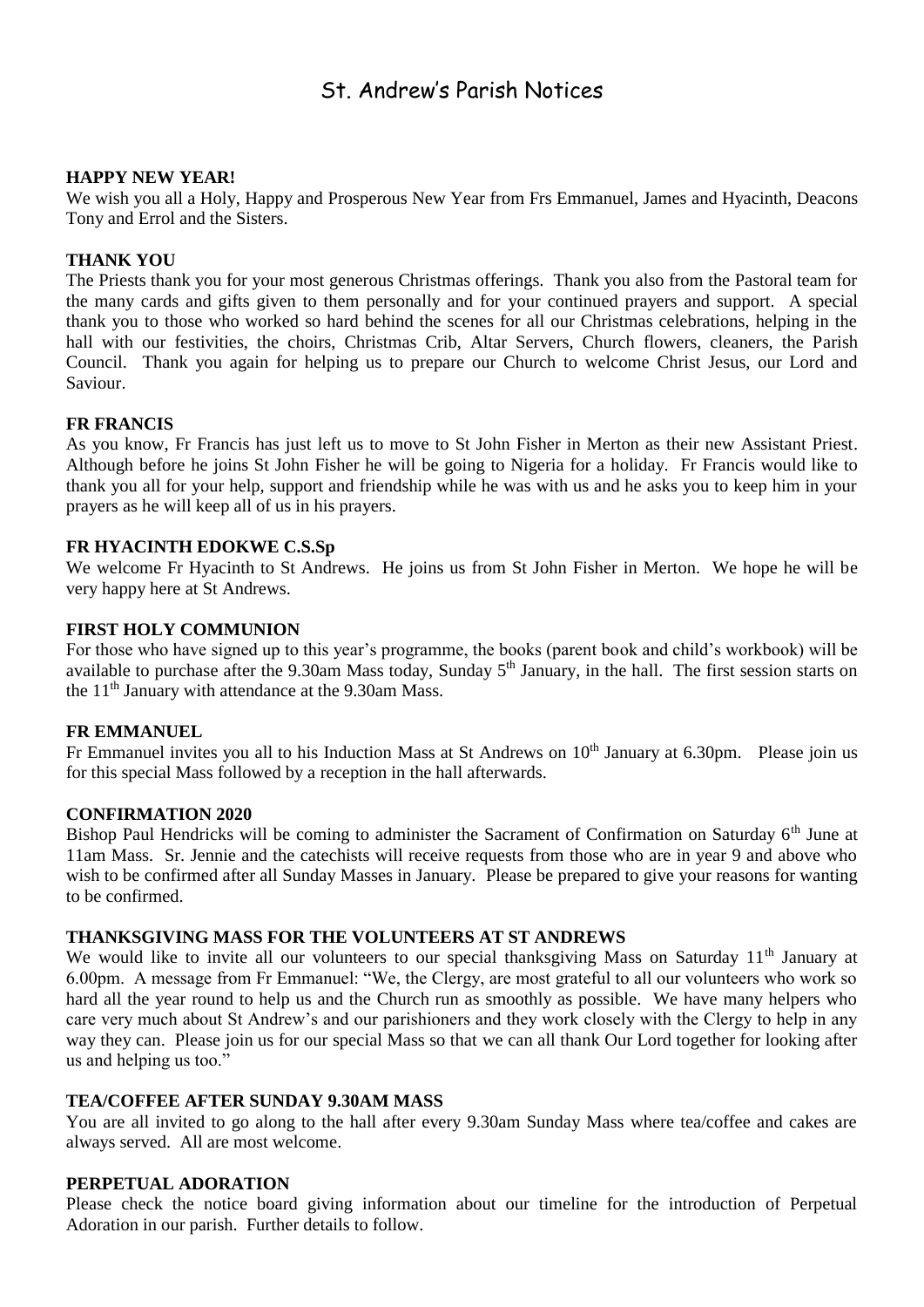### St. Andrew's Parish Notices

#### **HAPPY NEW YEAR!**

We wish you all a Holy, Happy and Prosperous New Year from Frs Emmanuel, James and Hyacinth, Deacons Tony and Errol and the Sisters.

#### **THANK YOU**

The Priests thank you for your most generous Christmas offerings. Thank you also from the Pastoral team for the many cards and gifts given to them personally and for your continued prayers and support. A special thank you to those who worked so hard behind the scenes for all our Christmas celebrations, helping in the hall with our festivities, the choirs, Christmas Crib, Altar Servers, Church flowers, cleaners, the Parish Council. Thank you again for helping us to prepare our Church to welcome Christ Jesus, our Lord and Saviour.

#### **FR FRANCIS**

As you know, Fr Francis has just left us to move to St John Fisher in Merton as their new Assistant Priest. Although before he joins St John Fisher he will be going to Nigeria for a holiday. Fr Francis would like to thank you all for your help, support and friendship while he was with us and he asks you to keep him in your prayers as he will keep all of us in his prayers.

#### **FR HYACINTH EDOKWE C.S.Sp**

We welcome Fr Hyacinth to St Andrews. He joins us from St John Fisher in Merton. We hope he will be very happy here at St Andrews.

#### **FIRST HOLY COMMUNION**

For those who have signed up to this year's programme, the books (parent book and child's workbook) will be available to purchase after the 9.30am Mass today, Sunday 5<sup>th</sup> January, in the hall. The first session starts on the  $11<sup>th</sup>$  January with attendance at the 9.30am Mass.

#### **FR EMMANUEL**

Fr Emmanuel invites you all to his Induction Mass at St Andrews on 10<sup>th</sup> January at 6.30pm. Please join us for this special Mass followed by a reception in the hall afterwards.

#### **CONFIRMATION 2020**

Bishop Paul Hendricks will be coming to administer the Sacrament of Confirmation on Saturday 6<sup>th</sup> June at 11am Mass. Sr. Jennie and the catechists will receive requests from those who are in year 9 and above who wish to be confirmed after all Sunday Masses in January. Please be prepared to give your reasons for wanting to be confirmed.

#### **THANKSGIVING MASS FOR THE VOLUNTEERS AT ST ANDREWS**

We would like to invite all our volunteers to our special thanksgiving Mass on Saturday 11<sup>th</sup> January at 6.00pm. A message from Fr Emmanuel: "We, the Clergy, are most grateful to all our volunteers who work so hard all the year round to help us and the Church run as smoothly as possible. We have many helpers who care very much about St Andrew's and our parishioners and they work closely with the Clergy to help in any way they can. Please join us for our special Mass so that we can all thank Our Lord together for looking after us and helping us too."

#### **TEA/COFFEE AFTER SUNDAY 9.30AM MASS**

You are all invited to go along to the hall after every 9.30am Sunday Mass where tea/coffee and cakes are always served. All are most welcome.

#### **PERPETUAL ADORATION**

Please check the notice board giving information about our timeline for the introduction of Perpetual Adoration in our parish. Further details to follow.